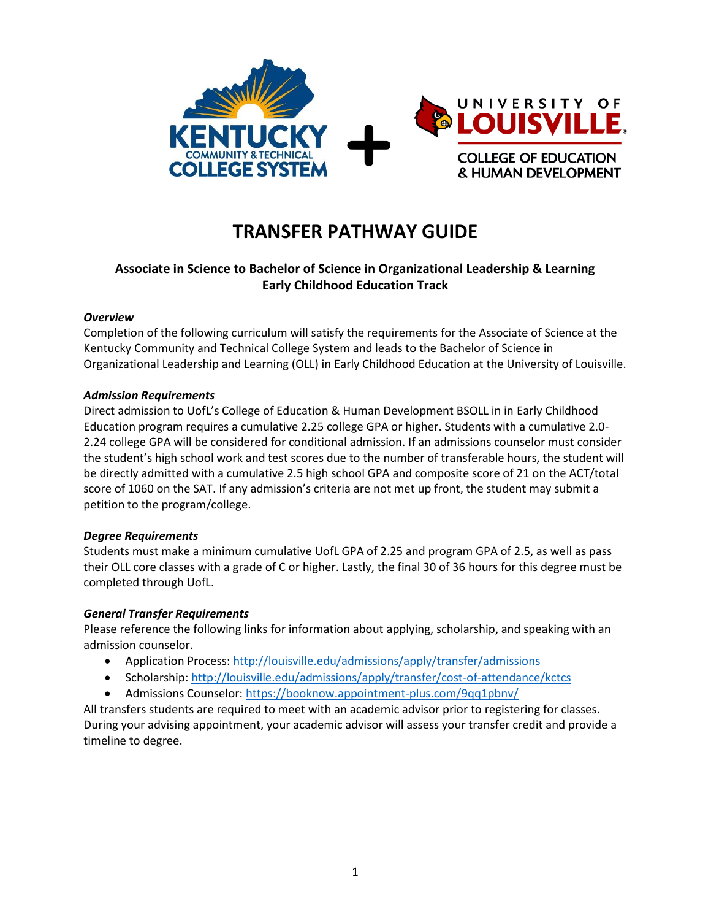

# **TRANSFER PATHWAY GUIDE**

## **Associate in Science to Bachelor of Science in Organizational Leadership & Learning Early Childhood Education Track**

### *Overview*

Completion of the following curriculum will satisfy the requirements for the Associate of Science at the Kentucky Community and Technical College System and leads to the Bachelor of Science in Organizational Leadership and Learning (OLL) in Early Childhood Education at the University of Louisville.

### *Admission Requirements*

Direct admission to UofL's College of Education & Human Development BSOLL in in Early Childhood Education program requires a cumulative 2.25 college GPA or higher. Students with a cumulative 2.0- 2.24 college GPA will be considered for conditional admission. If an admissions counselor must consider the student's high school work and test scores due to the number of transferable hours, the student will be directly admitted with a cumulative 2.5 high school GPA and composite score of 21 on the ACT/total score of 1060 on the SAT. If any admission's criteria are not met up front, the student may submit a petition to the program/college.

### *Degree Requirements*

Students must make a minimum cumulative UofL GPA of 2.25 and program GPA of 2.5, as well as pass their OLL core classes with a grade of C or higher. Lastly, the final 30 of 36 hours for this degree must be completed through UofL.

### *General Transfer Requirements*

Please reference the following links for information about applying, scholarship, and speaking with an admission counselor.

- Application Process[: http://louisville.edu/admissions/apply/transfer/admissions](http://louisville.edu/admissions/apply/transfer/admissions)
- Scholarship[: http://louisville.edu/admissions/apply/transfer/cost-of-attendance/kctcs](http://louisville.edu/admissions/apply/transfer/cost-of-attendance/kctcs)
- Admissions Counselor[: https://booknow.appointment-plus.com/9qq1pbnv/](https://booknow.appointment-plus.com/9qq1pbnv/)

All transfers students are required to meet with an academic advisor prior to registering for classes. During your advising appointment, your academic advisor will assess your transfer credit and provide a timeline to degree.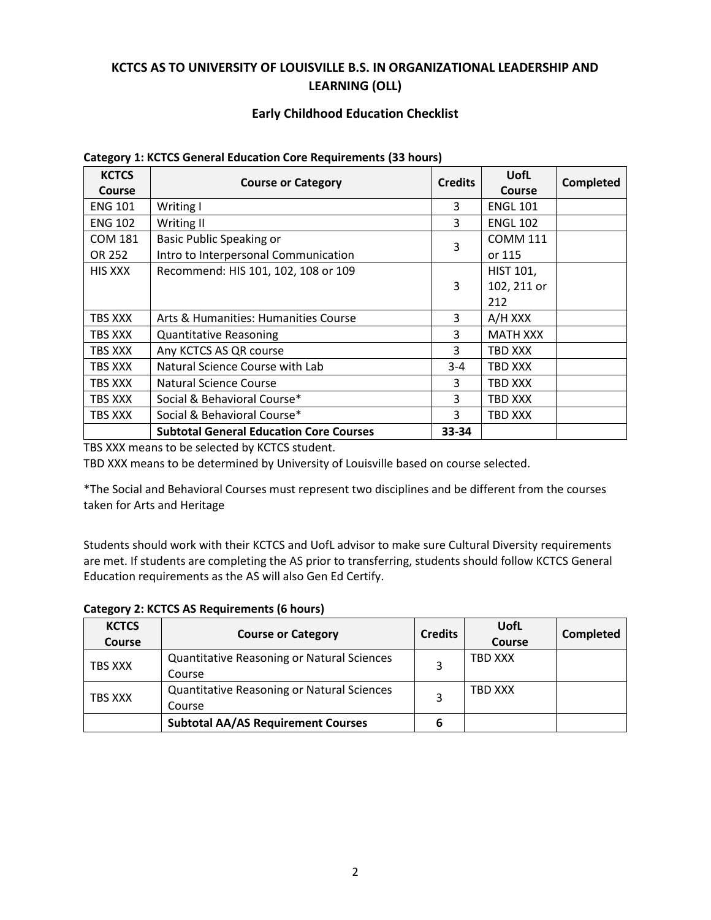## **KCTCS AS TO UNIVERSITY OF LOUISVILLE B.S. IN ORGANIZATIONAL LEADERSHIP AND LEARNING (OLL)**

### **Early Childhood Education Checklist**

| <b>KCTCS</b>   |                                                | <b>Credits</b> | UofL             |           |
|----------------|------------------------------------------------|----------------|------------------|-----------|
| Course         | <b>Course or Category</b>                      |                | <b>Course</b>    | Completed |
| <b>ENG 101</b> | Writing I                                      | 3              | <b>ENGL 101</b>  |           |
| <b>ENG 102</b> | Writing II                                     | 3              | <b>ENGL 102</b>  |           |
| <b>COM 181</b> | <b>Basic Public Speaking or</b>                | 3              | <b>COMM 111</b>  |           |
| OR 252         | Intro to Interpersonal Communication           |                | or 115           |           |
| HIS XXX        | Recommend: HIS 101, 102, 108 or 109            |                | <b>HIST 101,</b> |           |
|                |                                                | 3              | 102, 211 or      |           |
|                |                                                |                | 212              |           |
| TBS XXX        | Arts & Humanities: Humanities Course           | 3              | A/H XXX          |           |
| TBS XXX        | <b>Quantitative Reasoning</b>                  | 3              | <b>MATH XXX</b>  |           |
| TBS XXX        | Any KCTCS AS QR course                         | 3              | TBD XXX          |           |
| TBS XXX        | Natural Science Course with Lab                | 3-4            | TBD XXX          |           |
| TBS XXX        | <b>Natural Science Course</b>                  | 3              | TBD XXX          |           |
| TBS XXX        | Social & Behavioral Course*                    | 3              | TBD XXX          |           |
| TBS XXX        | Social & Behavioral Course*                    | 3              | TBD XXX          |           |
|                | <b>Subtotal General Education Core Courses</b> | 33-34          |                  |           |

#### **Category 1: KCTCS General Education Core Requirements (33 hours)**

TBS XXX means to be selected by KCTCS student.

TBD XXX means to be determined by University of Louisville based on course selected.

\*The Social and Behavioral Courses must represent two disciplines and be different from the courses taken for Arts and Heritage

Students should work with their KCTCS and UofL advisor to make sure Cultural Diversity requirements are met. If students are completing the AS prior to transferring, students should follow KCTCS General Education requirements as the AS will also Gen Ed Certify.

| <b>Category 2: KCTCS AS Requirements (6 hours)</b> |  |
|----------------------------------------------------|--|
|                                                    |  |

| <b>KCTCS</b><br><b>Course</b> | <b>Course or Category</b>                                   | <b>Credits</b> | <b>UofL</b><br>Course | Completed |
|-------------------------------|-------------------------------------------------------------|----------------|-----------------------|-----------|
| TBS XXX                       | Quantitative Reasoning or Natural Sciences<br>Course        |                | TBD XXX               |           |
| TBS XXX                       | <b>Quantitative Reasoning or Natural Sciences</b><br>Course |                | TBD XXX               |           |
|                               | <b>Subtotal AA/AS Requirement Courses</b>                   | 6              |                       |           |